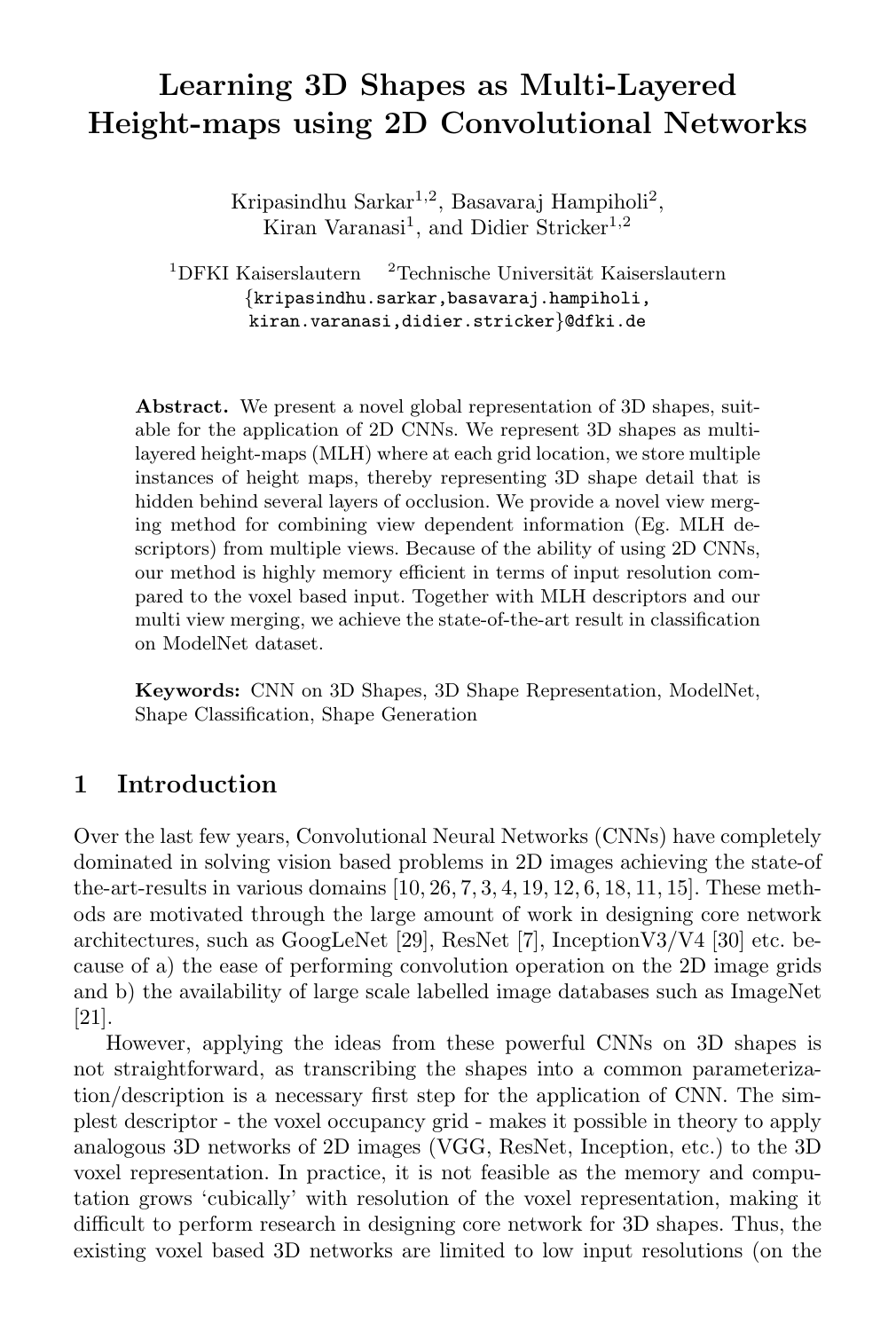# Learning 3D Shapes as Multi-Layered Height-maps using 2D Convolutional Networks

Kripasindhu Sarkar<sup>1,2</sup>, Basavaraj Hampiholi<sup>2</sup>, Kiran Varanasi<sup>1</sup>, and Didier Stricker<sup>1,2</sup>

 $1$ DFKI Kaiserslautern  $2$ Technische Universität Kaiserslautern {kripasindhu.sarkar,basavaraj.hampiholi, kiran.varanasi,didier.stricker}@dfki.de

Abstract. We present a novel global representation of 3D shapes, suitable for the application of 2D CNNs. We represent 3D shapes as multilayered height-maps (MLH) where at each grid location, we store multiple instances of height maps, thereby representing 3D shape detail that is hidden behind several layers of occlusion. We provide a novel view merging method for combining view dependent information (Eg. MLH descriptors) from multiple views. Because of the ability of using 2D CNNs, our method is highly memory efficient in terms of input resolution compared to the voxel based input. Together with MLH descriptors and our multi view merging, we achieve the state-of-the-art result in classification on ModelNet dataset.

Keywords: CNN on 3D Shapes, 3D Shape Representation, ModelNet, Shape Classification, Shape Generation

### 1 Introduction

Over the last few years, Convolutional Neural Networks (CNNs) have completely dominated in solving vision based problems in 2D images achieving the state-of the-art-results in various domains [10, 26, 7, 3, 4, 19, 12, 6, 18, 11, 15]. These methods are motivated through the large amount of work in designing core network architectures, such as GoogLeNet [29], ResNet [7], InceptionV3/V4 [30] etc. because of a) the ease of performing convolution operation on the 2D image grids and b) the availability of large scale labelled image databases such as ImageNet [21].

However, applying the ideas from these powerful CNNs on 3D shapes is not straightforward, as transcribing the shapes into a common parameterization/description is a necessary first step for the application of CNN. The simplest descriptor - the voxel occupancy grid - makes it possible in theory to apply analogous 3D networks of 2D images (VGG, ResNet, Inception, etc.) to the 3D voxel representation. In practice, it is not feasible as the memory and computation grows 'cubically' with resolution of the voxel representation, making it difficult to perform research in designing core network for 3D shapes. Thus, the existing voxel based 3D networks are limited to low input resolutions (on the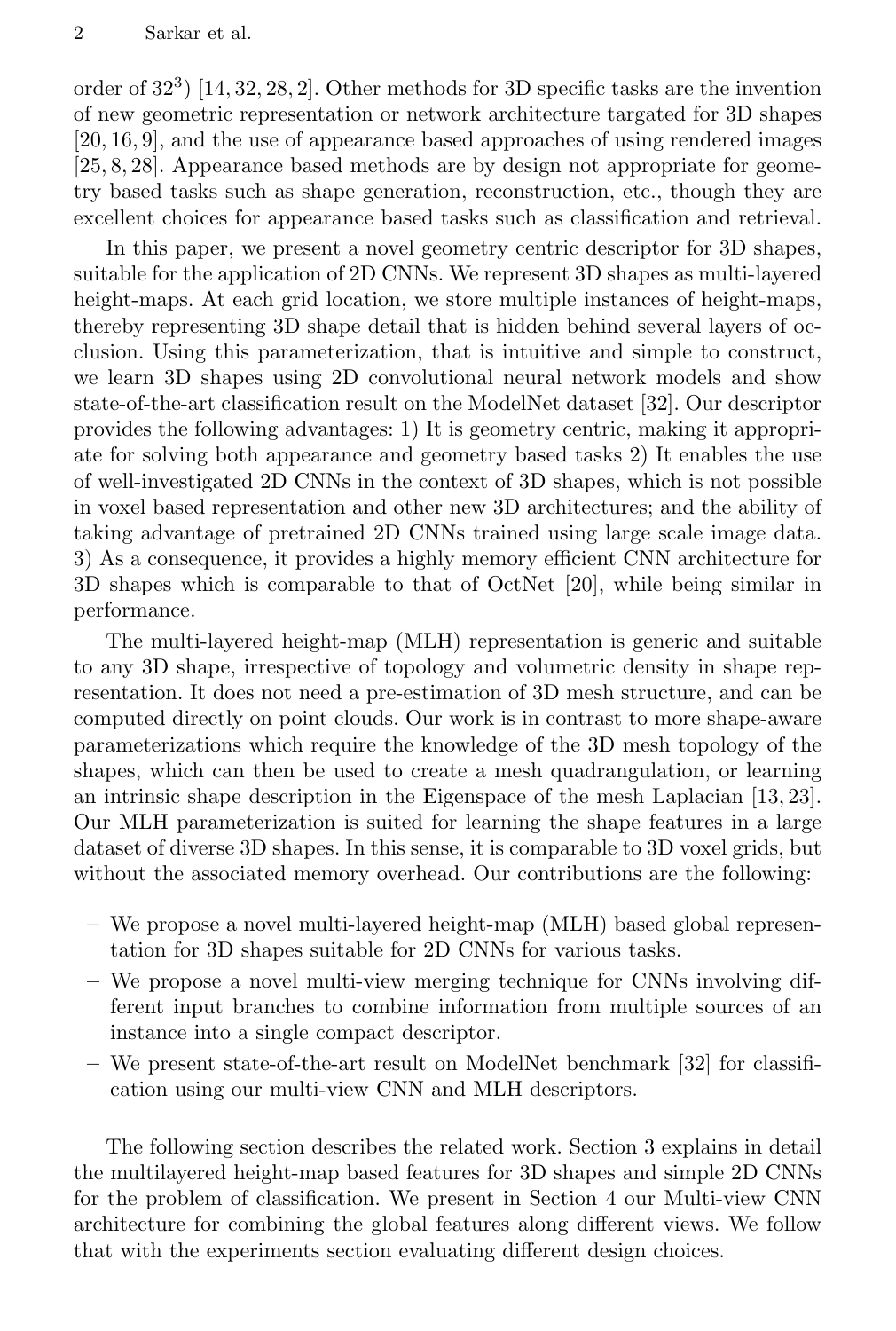order of 32<sup>3</sup> ) [14, 32, 28, 2]. Other methods for 3D specific tasks are the invention of new geometric representation or network architecture targated for 3D shapes [20, 16, 9], and the use of appearance based approaches of using rendered images [25, 8, 28]. Appearance based methods are by design not appropriate for geometry based tasks such as shape generation, reconstruction, etc., though they are excellent choices for appearance based tasks such as classification and retrieval.

In this paper, we present a novel geometry centric descriptor for 3D shapes, suitable for the application of 2D CNNs. We represent 3D shapes as multi-layered height-maps. At each grid location, we store multiple instances of height-maps, thereby representing 3D shape detail that is hidden behind several layers of occlusion. Using this parameterization, that is intuitive and simple to construct, we learn 3D shapes using 2D convolutional neural network models and show state-of-the-art classification result on the ModelNet dataset [32]. Our descriptor provides the following advantages: 1) It is geometry centric, making it appropriate for solving both appearance and geometry based tasks 2) It enables the use of well-investigated 2D CNNs in the context of 3D shapes, which is not possible in voxel based representation and other new 3D architectures; and the ability of taking advantage of pretrained 2D CNNs trained using large scale image data. 3) As a consequence, it provides a highly memory efficient CNN architecture for 3D shapes which is comparable to that of OctNet [20], while being similar in performance.

The multi-layered height-map (MLH) representation is generic and suitable to any 3D shape, irrespective of topology and volumetric density in shape representation. It does not need a pre-estimation of 3D mesh structure, and can be computed directly on point clouds. Our work is in contrast to more shape-aware parameterizations which require the knowledge of the 3D mesh topology of the shapes, which can then be used to create a mesh quadrangulation, or learning an intrinsic shape description in the Eigenspace of the mesh Laplacian [13, 23]. Our MLH parameterization is suited for learning the shape features in a large dataset of diverse 3D shapes. In this sense, it is comparable to 3D voxel grids, but without the associated memory overhead. Our contributions are the following:

- We propose a novel multi-layered height-map (MLH) based global representation for 3D shapes suitable for 2D CNNs for various tasks.
- We propose a novel multi-view merging technique for CNNs involving different input branches to combine information from multiple sources of an instance into a single compact descriptor.
- We present state-of-the-art result on ModelNet benchmark [32] for classification using our multi-view CNN and MLH descriptors.

The following section describes the related work. Section 3 explains in detail the multilayered height-map based features for 3D shapes and simple 2D CNNs for the problem of classification. We present in Section 4 our Multi-view CNN architecture for combining the global features along different views. We follow that with the experiments section evaluating different design choices.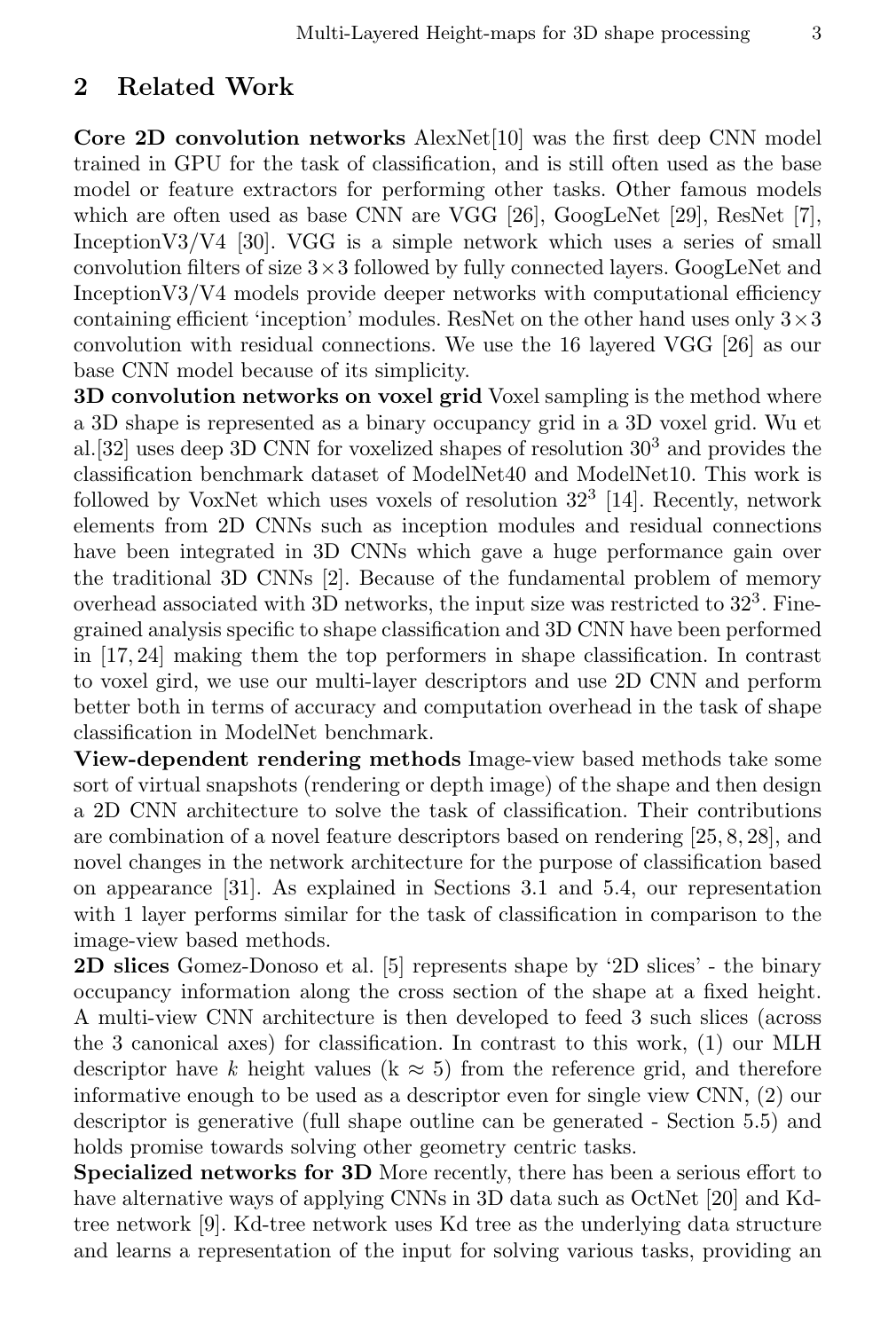#### 2 Related Work

Core 2D convolution networks AlexNet[10] was the first deep CNN model trained in GPU for the task of classification, and is still often used as the base model or feature extractors for performing other tasks. Other famous models which are often used as base CNN are VGG [26], GoogLeNet [29], ResNet [7], InceptionV3/V4 [30]. VGG is a simple network which uses a series of small convolution filters of size  $3 \times 3$  followed by fully connected layers. GoogLeNet and Inception V3/V4 models provide deeper networks with computational efficiency containing efficient 'inception' modules. ResNet on the other hand uses only  $3 \times 3$ convolution with residual connections. We use the 16 layered VGG [26] as our base CNN model because of its simplicity.

**3D convolution networks on voxel grid** Voxel sampling is the method where a 3D shape is represented as a binary occupancy grid in a 3D voxel grid. Wu et al. [32] uses deep 3D CNN for voxelized shapes of resolution  $30<sup>3</sup>$  and provides the classification benchmark dataset of ModelNet40 and ModelNet10. This work is followed by VoxNet which uses voxels of resolution  $32<sup>3</sup>$  [14]. Recently, network elements from 2D CNNs such as inception modules and residual connections have been integrated in 3D CNNs which gave a huge performance gain over the traditional 3D CNNs [2]. Because of the fundamental problem of memory overhead associated with 3D networks, the input size was restricted to  $32<sup>3</sup>$ . Finegrained analysis specific to shape classification and 3D CNN have been performed in [17, 24] making them the top performers in shape classification. In contrast to voxel gird, we use our multi-layer descriptors and use 2D CNN and perform better both in terms of accuracy and computation overhead in the task of shape classification in ModelNet benchmark.

View-dependent rendering methods Image-view based methods take some sort of virtual snapshots (rendering or depth image) of the shape and then design a 2D CNN architecture to solve the task of classification. Their contributions are combination of a novel feature descriptors based on rendering [25, 8, 28], and novel changes in the network architecture for the purpose of classification based on appearance [31]. As explained in Sections 3.1 and 5.4, our representation with 1 layer performs similar for the task of classification in comparison to the image-view based methods.

2D slices Gomez-Donoso et al. [5] represents shape by '2D slices' - the binary occupancy information along the cross section of the shape at a fixed height. A multi-view CNN architecture is then developed to feed 3 such slices (across the 3 canonical axes) for classification. In contrast to this work, (1) our MLH descriptor have k height values (k  $\approx$  5) from the reference grid, and therefore informative enough to be used as a descriptor even for single view CNN, (2) our descriptor is generative (full shape outline can be generated - Section 5.5) and holds promise towards solving other geometry centric tasks.

Specialized networks for 3D More recently, there has been a serious effort to have alternative ways of applying CNNs in 3D data such as OctNet [20] and Kdtree network [9]. Kd-tree network uses Kd tree as the underlying data structure and learns a representation of the input for solving various tasks, providing an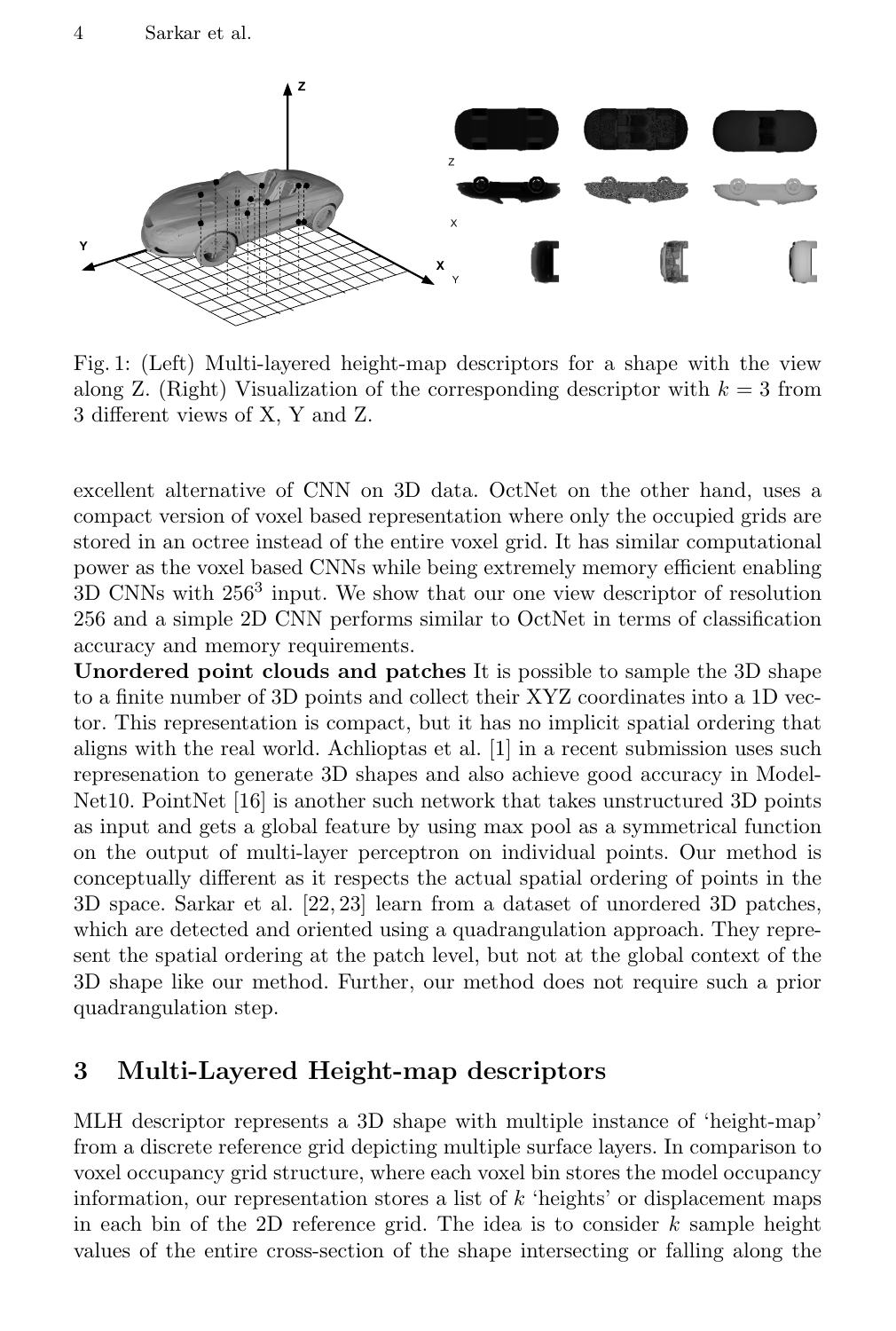

Fig. 1: (Left) Multi-layered height-map descriptors for a shape with the view along Z. (Right) Visualization of the corresponding descriptor with  $k = 3$  from 3 different views of X, Y and Z.

excellent alternative of CNN on 3D data. OctNet on the other hand, uses a compact version of voxel based representation where only the occupied grids are stored in an octree instead of the entire voxel grid. It has similar computational power as the voxel based CNNs while being extremely memory efficient enabling 3D CNNs with 256<sup>3</sup> input. We show that our one view descriptor of resolution 256 and a simple 2D CNN performs similar to OctNet in terms of classification accuracy and memory requirements.

Unordered point clouds and patches It is possible to sample the 3D shape to a finite number of 3D points and collect their XYZ coordinates into a 1D vector. This representation is compact, but it has no implicit spatial ordering that aligns with the real world. Achlioptas et al. [1] in a recent submission uses such represenation to generate 3D shapes and also achieve good accuracy in Model-Net10. PointNet [16] is another such network that takes unstructured 3D points as input and gets a global feature by using max pool as a symmetrical function on the output of multi-layer perceptron on individual points. Our method is conceptually different as it respects the actual spatial ordering of points in the 3D space. Sarkar et al. [22, 23] learn from a dataset of unordered 3D patches, which are detected and oriented using a quadrangulation approach. They represent the spatial ordering at the patch level, but not at the global context of the 3D shape like our method. Further, our method does not require such a prior quadrangulation step.

## 3 Multi-Layered Height-map descriptors

MLH descriptor represents a 3D shape with multiple instance of 'height-map' from a discrete reference grid depicting multiple surface layers. In comparison to voxel occupancy grid structure, where each voxel bin stores the model occupancy information, our representation stores a list of  $k$  'heights' or displacement maps in each bin of the 2D reference grid. The idea is to consider  $k$  sample height values of the entire cross-section of the shape intersecting or falling along the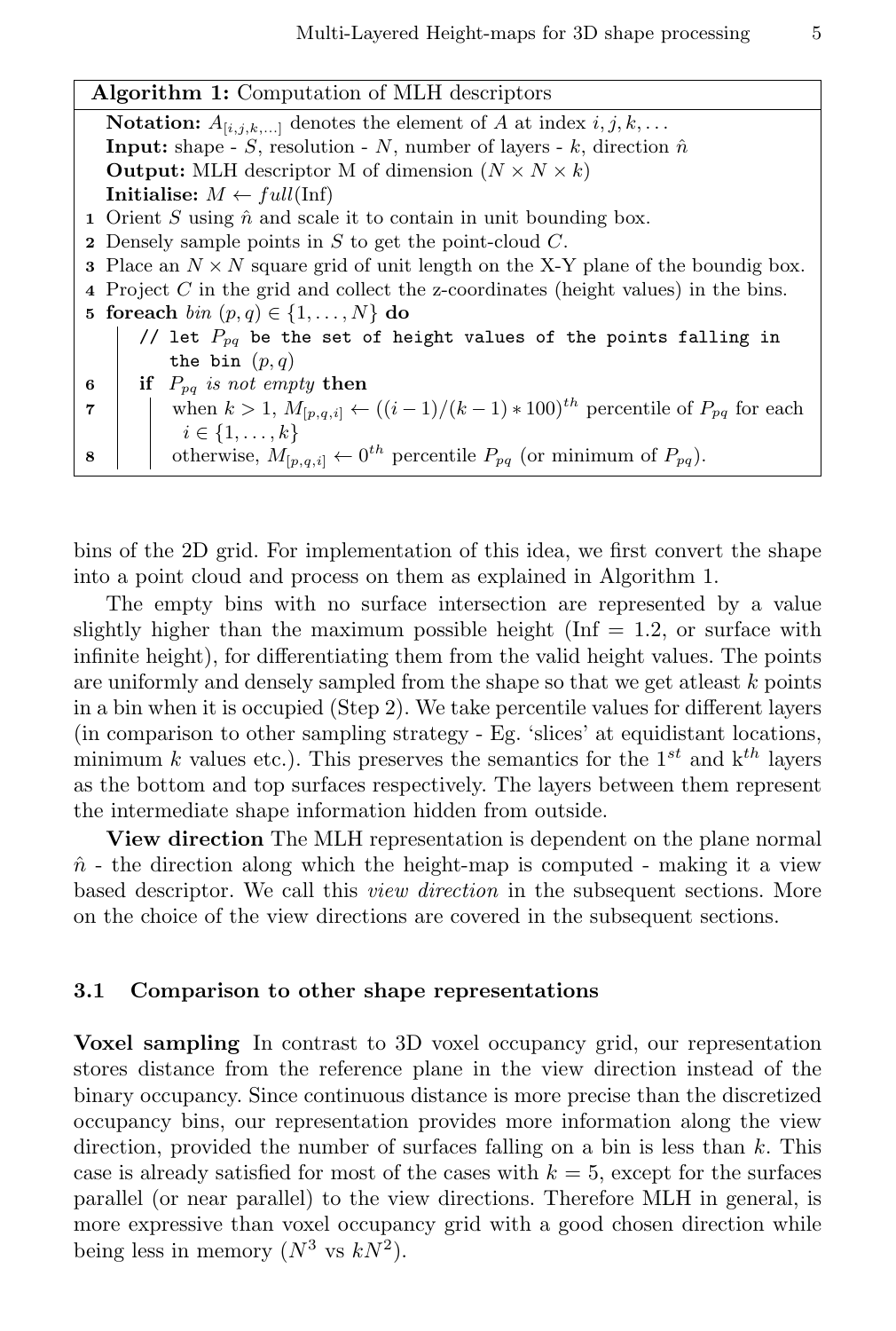| <b>Algorithm 1:</b> Computation of MLH descriptors                                                                 |  |  |  |  |  |  |  |
|--------------------------------------------------------------------------------------------------------------------|--|--|--|--|--|--|--|
| <b>Notation:</b> $A_{[i,j,k,]}$ denotes the element of A at index $i, j, k,$                                       |  |  |  |  |  |  |  |
| <b>Input:</b> shape - S, resolution - N, number of layers - k, direction $\hat{n}$                                 |  |  |  |  |  |  |  |
| <b>Output:</b> MLH descriptor M of dimension $(N \times N \times k)$                                               |  |  |  |  |  |  |  |
| Initialise: $M \leftarrow full(\text{Inf})$                                                                        |  |  |  |  |  |  |  |
| 1 Orient S using $\hat{n}$ and scale it to contain in unit bounding box.                                           |  |  |  |  |  |  |  |
| <b>2</b> Densely sample points in $S$ to get the point-cloud $C$ .                                                 |  |  |  |  |  |  |  |
| <b>3</b> Place an $N \times N$ square grid of unit length on the X-Y plane of the boundig box.                     |  |  |  |  |  |  |  |
| 4 Project $C$ in the grid and collect the z-coordinates (height values) in the bins.                               |  |  |  |  |  |  |  |
| 5 foreach $\text{bin}(p,q) \in \{1,\ldots,N\}$ do                                                                  |  |  |  |  |  |  |  |
| // let $P_{pq}$ be the set of height values of the points falling in                                               |  |  |  |  |  |  |  |
| the bin $(p, q)$                                                                                                   |  |  |  |  |  |  |  |
| if $P_{pa}$ is not empty then<br>6                                                                                 |  |  |  |  |  |  |  |
| when $k > 1$ , $M_{[p,q,i]} \leftarrow ((i-1)/(k-1) * 100)^{th}$ percentile of $P_{pq}$ for each<br>$\overline{7}$ |  |  |  |  |  |  |  |
| $i \in \{1, \ldots, k\}$                                                                                           |  |  |  |  |  |  |  |
| otherwise, $M_{[p,q,i]} \leftarrow 0^{th}$ percentile $P_{pq}$ (or minimum of $P_{pq}$ ).<br>8                     |  |  |  |  |  |  |  |

bins of the 2D grid. For implementation of this idea, we first convert the shape into a point cloud and process on them as explained in Algorithm 1.

The empty bins with no surface intersection are represented by a value slightly higher than the maximum possible height (Inf  $= 1.2$ , or surface with infinite height), for differentiating them from the valid height values. The points are uniformly and densely sampled from the shape so that we get at least  $k$  points in a bin when it is occupied (Step 2). We take percentile values for different layers (in comparison to other sampling strategy - Eg. 'slices' at equidistant locations, minimum k values etc.). This preserves the semantics for the  $1^{st}$  and  $k^{th}$  layers as the bottom and top surfaces respectively. The layers between them represent the intermediate shape information hidden from outside.

View direction The MLH representation is dependent on the plane normal  $\hat{n}$  - the direction along which the height-map is computed - making it a view based descriptor. We call this *view direction* in the subsequent sections. More on the choice of the view directions are covered in the subsequent sections.

#### 3.1 Comparison to other shape representations

Voxel sampling In contrast to 3D voxel occupancy grid, our representation stores distance from the reference plane in the view direction instead of the binary occupancy. Since continuous distance is more precise than the discretized occupancy bins, our representation provides more information along the view direction, provided the number of surfaces falling on a bin is less than  $k$ . This case is already satisfied for most of the cases with  $k = 5$ , except for the surfaces parallel (or near parallel) to the view directions. Therefore MLH in general, is more expressive than voxel occupancy grid with a good chosen direction while being less in memory  $(N^3 \text{ vs } kN^2)$ .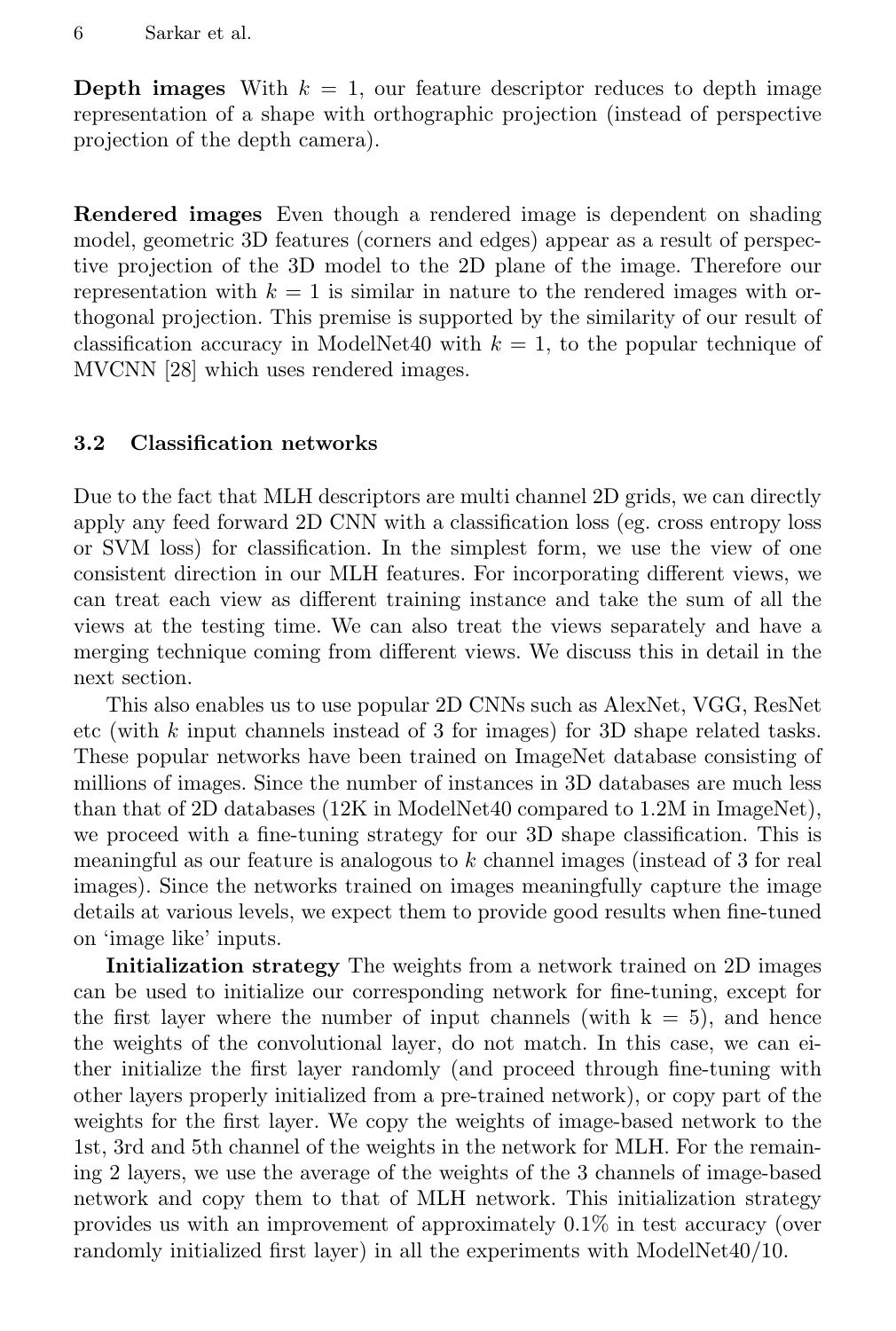**Depth images** With  $k = 1$ , our feature descriptor reduces to depth image representation of a shape with orthographic projection (instead of perspective projection of the depth camera).

Rendered images Even though a rendered image is dependent on shading model, geometric 3D features (corners and edges) appear as a result of perspective projection of the 3D model to the 2D plane of the image. Therefore our representation with  $k = 1$  is similar in nature to the rendered images with orthogonal projection. This premise is supported by the similarity of our result of classification accuracy in ModelNet40 with  $k = 1$ , to the popular technique of MVCNN [28] which uses rendered images.

#### 3.2 Classification networks

Due to the fact that MLH descriptors are multi channel 2D grids, we can directly apply any feed forward 2D CNN with a classification loss (eg. cross entropy loss or SVM loss) for classification. In the simplest form, we use the view of one consistent direction in our MLH features. For incorporating different views, we can treat each view as different training instance and take the sum of all the views at the testing time. We can also treat the views separately and have a merging technique coming from different views. We discuss this in detail in the next section.

This also enables us to use popular 2D CNNs such as AlexNet, VGG, ResNet etc (with k input channels instead of 3 for images) for 3D shape related tasks. These popular networks have been trained on ImageNet database consisting of millions of images. Since the number of instances in 3D databases are much less than that of 2D databases (12K in ModelNet40 compared to 1.2M in ImageNet), we proceed with a fine-tuning strategy for our 3D shape classification. This is meaningful as our feature is analogous to  $k$  channel images (instead of 3 for real images). Since the networks trained on images meaningfully capture the image details at various levels, we expect them to provide good results when fine-tuned on 'image like' inputs.

Initialization strategy The weights from a network trained on 2D images can be used to initialize our corresponding network for fine-tuning, except for the first layer where the number of input channels (with  $k = 5$ ), and hence the weights of the convolutional layer, do not match. In this case, we can either initialize the first layer randomly (and proceed through fine-tuning with other layers properly initialized from a pre-trained network), or copy part of the weights for the first layer. We copy the weights of image-based network to the 1st, 3rd and 5th channel of the weights in the network for MLH. For the remaining 2 layers, we use the average of the weights of the 3 channels of image-based network and copy them to that of MLH network. This initialization strategy provides us with an improvement of approximately 0.1% in test accuracy (over randomly initialized first layer) in all the experiments with ModelNet40/10.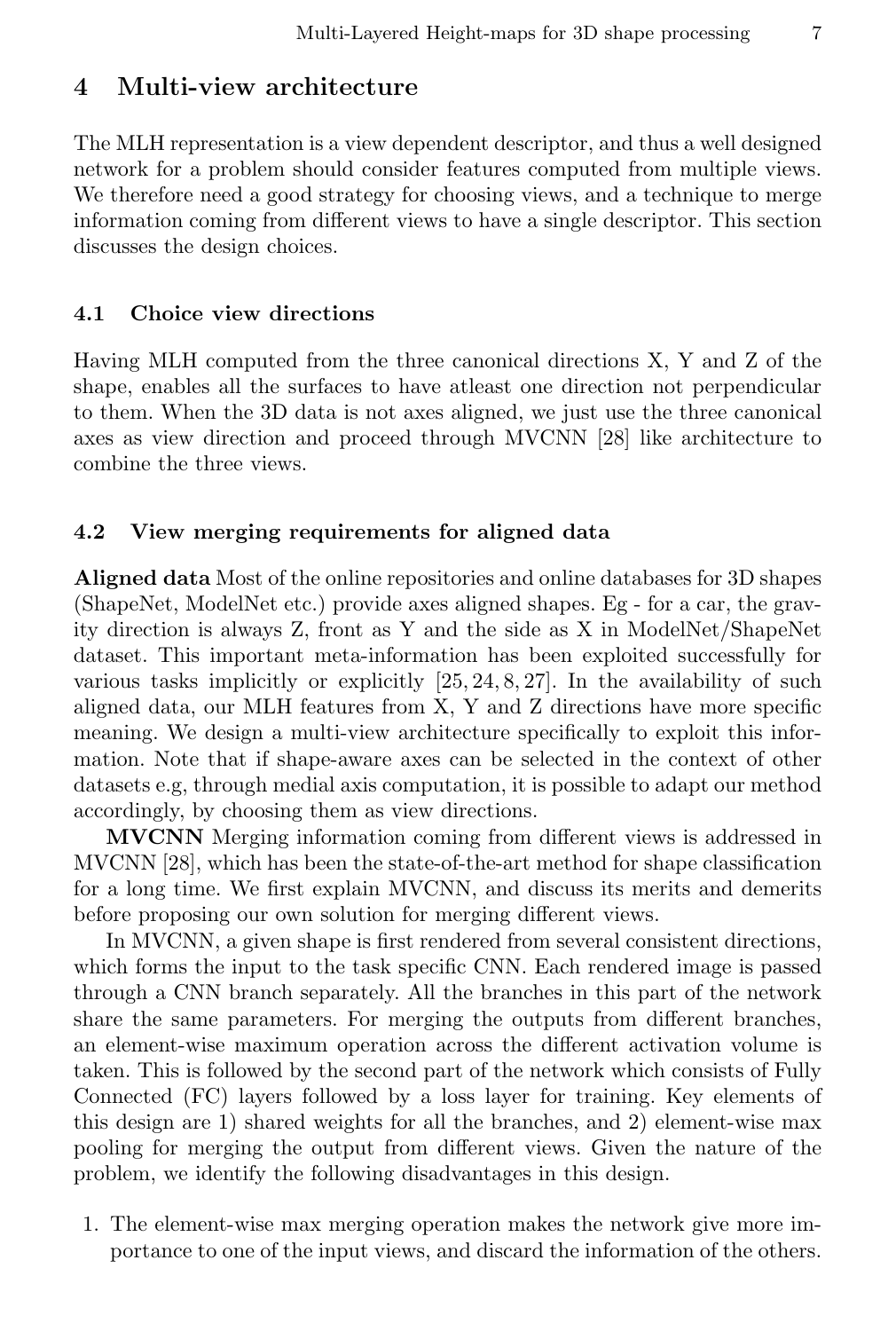### 4 Multi-view architecture

The MLH representation is a view dependent descriptor, and thus a well designed network for a problem should consider features computed from multiple views. We therefore need a good strategy for choosing views, and a technique to merge information coming from different views to have a single descriptor. This section discusses the design choices.

#### 4.1 Choice view directions

Having MLH computed from the three canonical directions X, Y and Z of the shape, enables all the surfaces to have atleast one direction not perpendicular to them. When the 3D data is not axes aligned, we just use the three canonical axes as view direction and proceed through MVCNN [28] like architecture to combine the three views.

#### 4.2 View merging requirements for aligned data

Aligned data Most of the online repositories and online databases for 3D shapes (ShapeNet, ModelNet etc.) provide axes aligned shapes. Eg - for a car, the gravity direction is always Z, front as Y and the side as X in ModelNet/ShapeNet dataset. This important meta-information has been exploited successfully for various tasks implicitly or explicitly [25, 24, 8, 27]. In the availability of such aligned data, our MLH features from X, Y and Z directions have more specific meaning. We design a multi-view architecture specifically to exploit this information. Note that if shape-aware axes can be selected in the context of other datasets e.g, through medial axis computation, it is possible to adapt our method accordingly, by choosing them as view directions.

MVCNN Merging information coming from different views is addressed in MVCNN [28], which has been the state-of-the-art method for shape classification for a long time. We first explain MVCNN, and discuss its merits and demerits before proposing our own solution for merging different views.

In MVCNN, a given shape is first rendered from several consistent directions, which forms the input to the task specific CNN. Each rendered image is passed through a CNN branch separately. All the branches in this part of the network share the same parameters. For merging the outputs from different branches, an element-wise maximum operation across the different activation volume is taken. This is followed by the second part of the network which consists of Fully Connected (FC) layers followed by a loss layer for training. Key elements of this design are 1) shared weights for all the branches, and 2) element-wise max pooling for merging the output from different views. Given the nature of the problem, we identify the following disadvantages in this design.

1. The element-wise max merging operation makes the network give more importance to one of the input views, and discard the information of the others.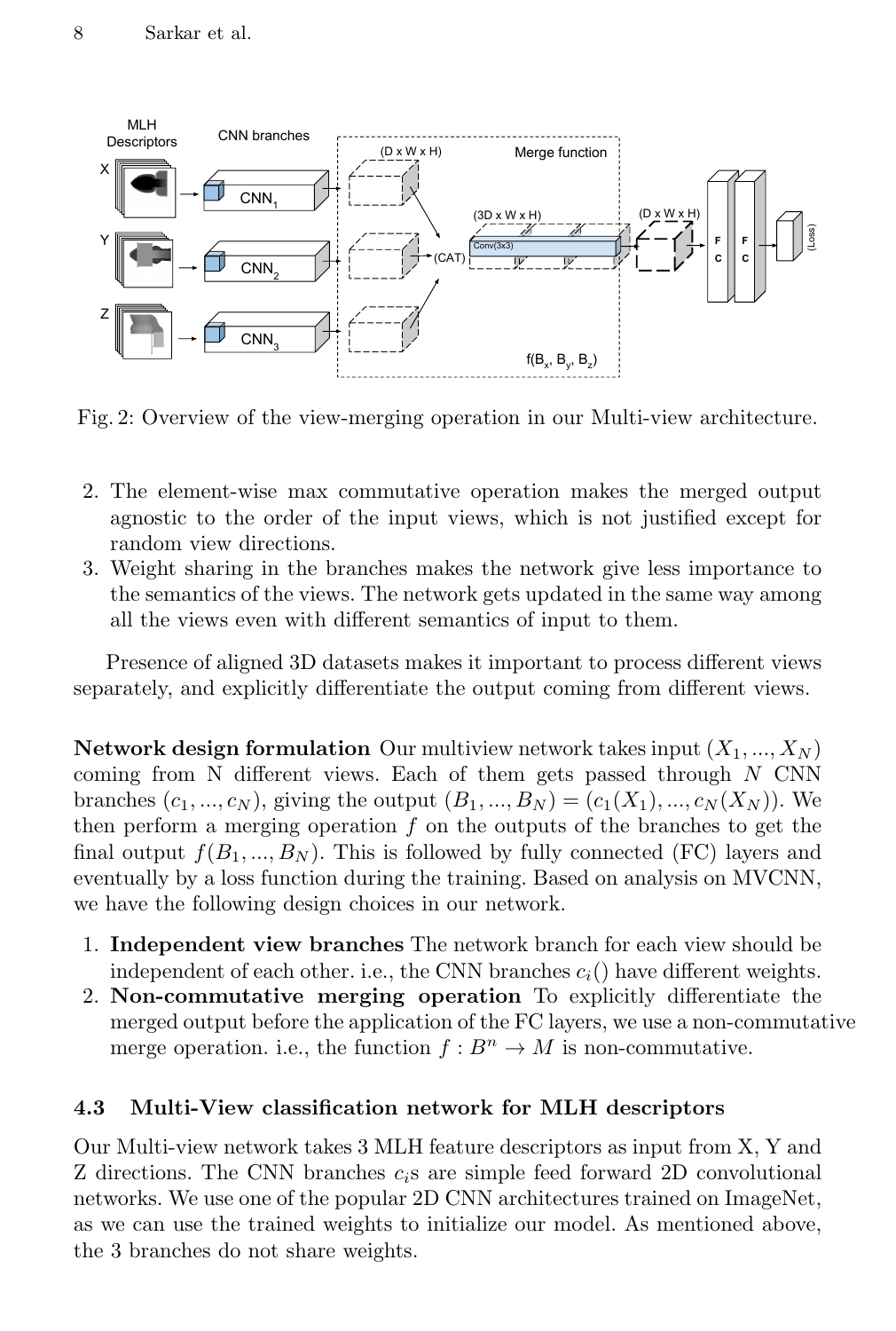

Fig. 2: Overview of the view-merging operation in our Multi-view architecture.

- 2. The element-wise max commutative operation makes the merged output agnostic to the order of the input views, which is not justified except for random view directions.
- 3. Weight sharing in the branches makes the network give less importance to the semantics of the views. The network gets updated in the same way among all the views even with different semantics of input to them.

Presence of aligned 3D datasets makes it important to process different views separately, and explicitly differentiate the output coming from different views.

**Network design formulation** Our multiview network takes input  $(X_1, ..., X_N)$ coming from N different views. Each of them gets passed through  $N$  CNN branches  $(c_1, ..., c_N)$ , giving the output  $(B_1, ..., B_N) = (c_1(X_1), ..., c_N(X_N))$ . We then perform a merging operation  $f$  on the outputs of the branches to get the final output  $f(B_1, ..., B_N)$ . This is followed by fully connected (FC) layers and eventually by a loss function during the training. Based on analysis on MVCNN, we have the following design choices in our network.

- 1. Independent view branches The network branch for each view should be independent of each other. i.e., the CNN branches  $c_i$  () have different weights.
- 2. Non-commutative merging operation To explicitly differentiate the merged output before the application of the FC layers, we use a non-commutative merge operation. i.e., the function  $f : B^n \to M$  is non-commutative.

#### 4.3 Multi-View classification network for MLH descriptors

Our Multi-view network takes 3 MLH feature descriptors as input from X, Y and Z directions. The CNN branches  $c_i$ s are simple feed forward 2D convolutional networks. We use one of the popular 2D CNN architectures trained on ImageNet, as we can use the trained weights to initialize our model. As mentioned above, the 3 branches do not share weights.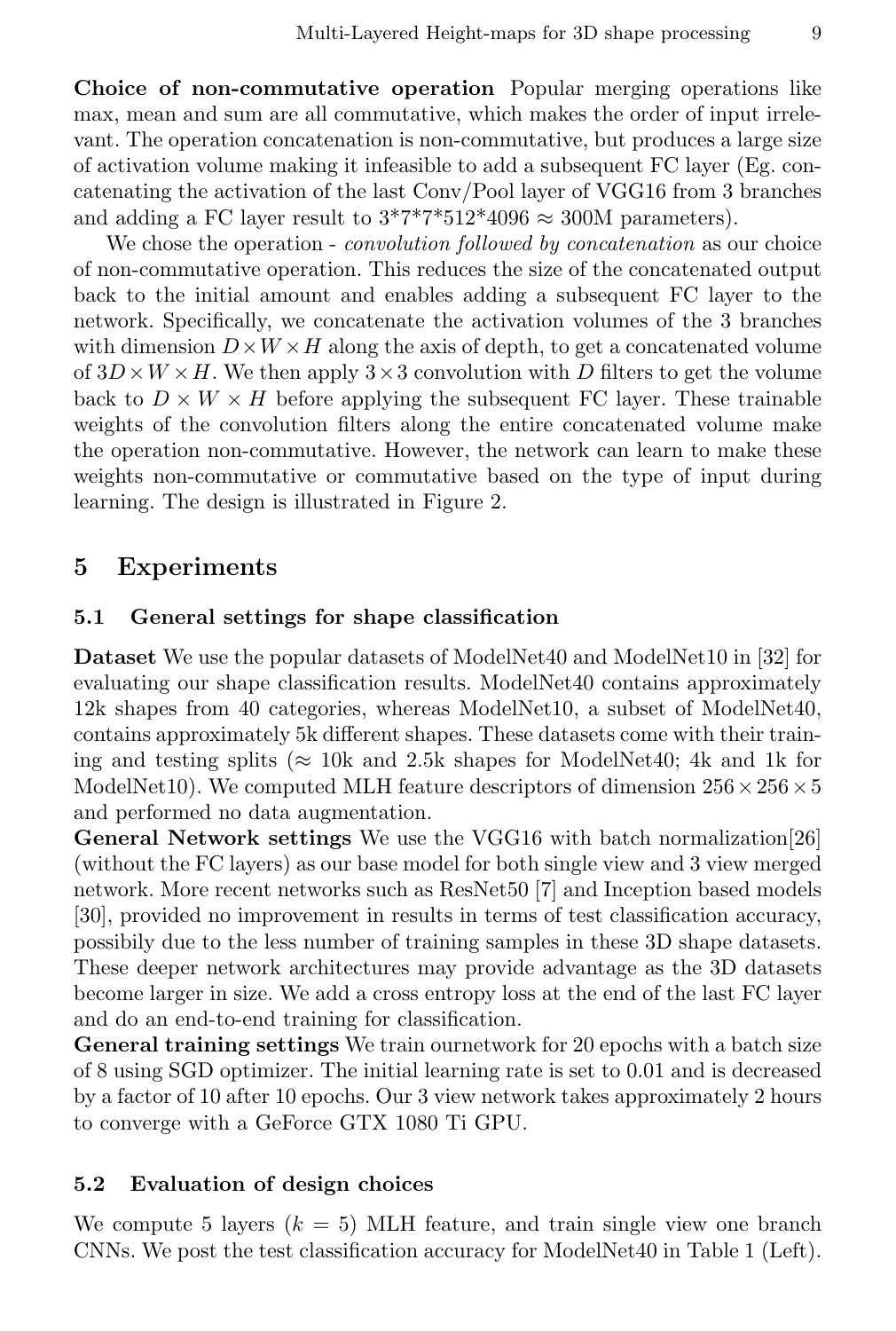Choice of non-commutative operation Popular merging operations like max, mean and sum are all commutative, which makes the order of input irrelevant. The operation concatenation is non-commutative, but produces a large size of activation volume making it infeasible to add a subsequent FC layer (Eg. concatenating the activation of the last Conv/Pool layer of VGG16 from 3 branches and adding a FC layer result to  $3*7*7*512*4096 \approx 300$ M parameters).

We chose the operation - *convolution followed by concatenation* as our choice of non-commutative operation. This reduces the size of the concatenated output back to the initial amount and enables adding a subsequent FC layer to the network. Specifically, we concatenate the activation volumes of the 3 branches with dimension  $D \times W \times H$  along the axis of depth, to get a concatenated volume of  $3D \times W \times H$ . We then apply  $3 \times 3$  convolution with D filters to get the volume back to  $D \times W \times H$  before applying the subsequent FC layer. These trainable weights of the convolution filters along the entire concatenated volume make the operation non-commutative. However, the network can learn to make these weights non-commutative or commutative based on the type of input during learning. The design is illustrated in Figure 2.

### 5 Experiments

#### 5.1 General settings for shape classification

Dataset We use the popular datasets of ModelNet40 and ModelNet10 in [32] for evaluating our shape classification results. ModelNet40 contains approximately 12k shapes from 40 categories, whereas ModelNet10, a subset of ModelNet40, contains approximately 5k different shapes. These datasets come with their training and testing splits ( $\approx$  10k and 2.5k shapes for ModelNet40; 4k and 1k for ModelNet10). We computed MLH feature descriptors of dimension  $256 \times 256 \times 5$ and performed no data augmentation.

General Network settings We use the VGG16 with batch normalization[26] (without the FC layers) as our base model for both single view and 3 view merged network. More recent networks such as ResNet50 [7] and Inception based models [30], provided no improvement in results in terms of test classification accuracy, possibily due to the less number of training samples in these 3D shape datasets. These deeper network architectures may provide advantage as the 3D datasets become larger in size. We add a cross entropy loss at the end of the last FC layer and do an end-to-end training for classification.

General training settings We train ournetwork for 20 epochs with a batch size of 8 using SGD optimizer. The initial learning rate is set to 0.01 and is decreased by a factor of 10 after 10 epochs. Our 3 view network takes approximately 2 hours to converge with a GeForce GTX 1080 Ti GPU.

#### 5.2 Evaluation of design choices

We compute 5 layers  $(k = 5)$  MLH feature, and train single view one branch CNNs. We post the test classification accuracy for ModelNet40 in Table 1 (Left).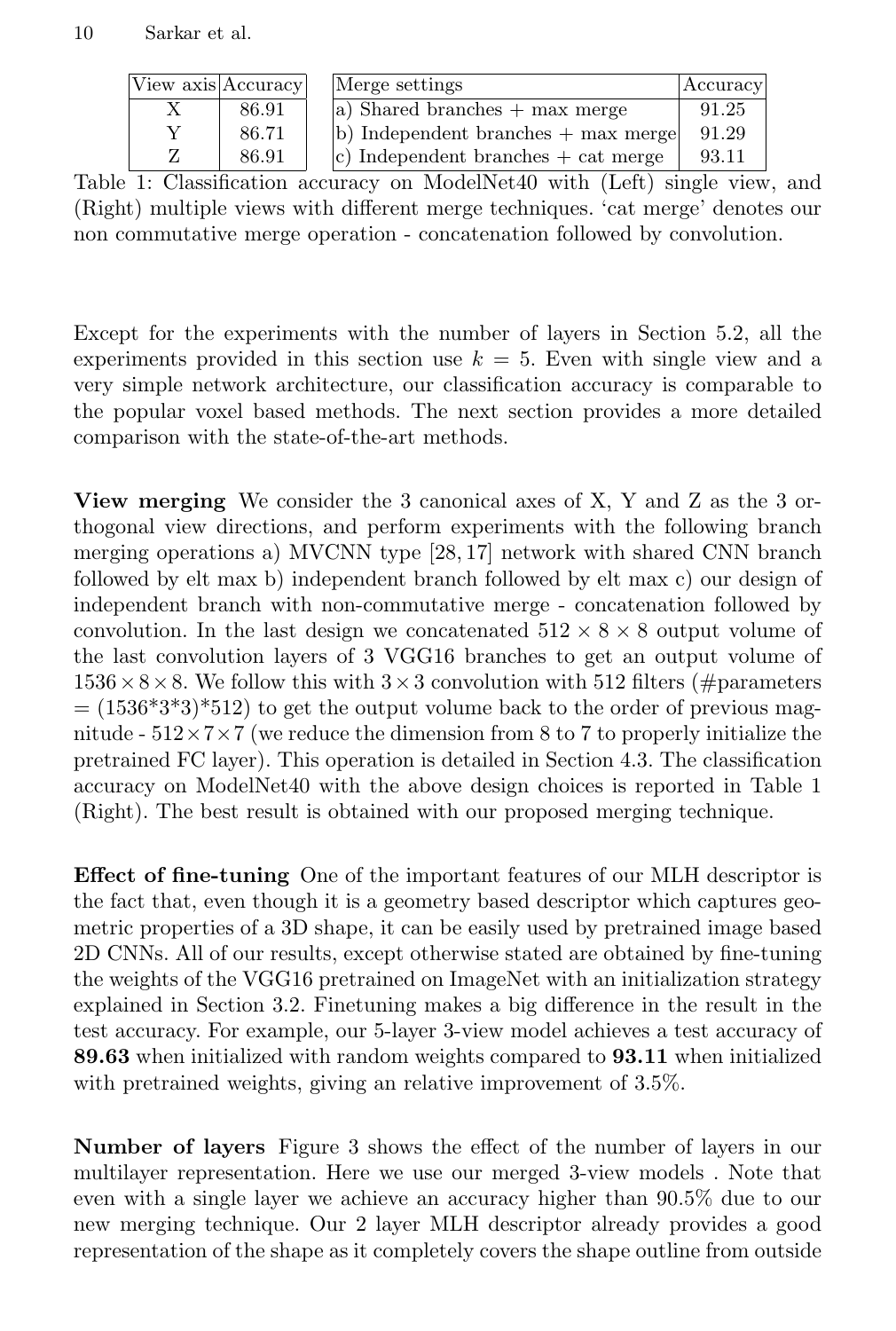| View axis Accuracy |       | Merge settings                                        | Accuracy |
|--------------------|-------|-------------------------------------------------------|----------|
|                    | 86.91 | $ a\rangle$ Shared branches $+$ max merge             | 91.25    |
|                    | 86.71 | $\vert$ b) Independent branches $+$ max merge $\vert$ | 91.29    |
|                    | 86.91 | $ c\rangle$ Independent branches $+$ cat merge        | 93.11    |

Table 1: Classification accuracy on ModelNet40 with (Left) single view, and (Right) multiple views with different merge techniques. 'cat merge' denotes our non commutative merge operation - concatenation followed by convolution.

Except for the experiments with the number of layers in Section 5.2, all the experiments provided in this section use  $k = 5$ . Even with single view and a very simple network architecture, our classification accuracy is comparable to the popular voxel based methods. The next section provides a more detailed comparison with the state-of-the-art methods.

View merging We consider the 3 canonical axes of X, Y and Z as the 3 orthogonal view directions, and perform experiments with the following branch merging operations a) MVCNN type [28, 17] network with shared CNN branch followed by elt max b) independent branch followed by elt max c) our design of independent branch with non-commutative merge - concatenation followed by convolution. In the last design we concatenated  $512 \times 8 \times 8$  output volume of the last convolution layers of 3 VGG16 branches to get an output volume of  $1536\times8\times8$ . We follow this with  $3\times3$  convolution with 512 filters (#parameters  $= (1536*3*3)*512$  to get the output volume back to the order of previous magnitude -  $512\times7\times7$  (we reduce the dimension from 8 to 7 to properly initialize the pretrained FC layer). This operation is detailed in Section 4.3. The classification accuracy on ModelNet40 with the above design choices is reported in Table 1 (Right). The best result is obtained with our proposed merging technique.

Effect of fine-tuning One of the important features of our MLH descriptor is the fact that, even though it is a geometry based descriptor which captures geometric properties of a 3D shape, it can be easily used by pretrained image based 2D CNNs. All of our results, except otherwise stated are obtained by fine-tuning the weights of the VGG16 pretrained on ImageNet with an initialization strategy explained in Section 3.2. Finetuning makes a big difference in the result in the test accuracy. For example, our 5-layer 3-view model achieves a test accuracy of 89.63 when initialized with random weights compared to 93.11 when initialized with pretrained weights, giving an relative improvement of 3.5%.

Number of layers Figure 3 shows the effect of the number of layers in our multilayer representation. Here we use our merged 3-view models . Note that even with a single layer we achieve an accuracy higher than 90.5% due to our new merging technique. Our 2 layer MLH descriptor already provides a good representation of the shape as it completely covers the shape outline from outside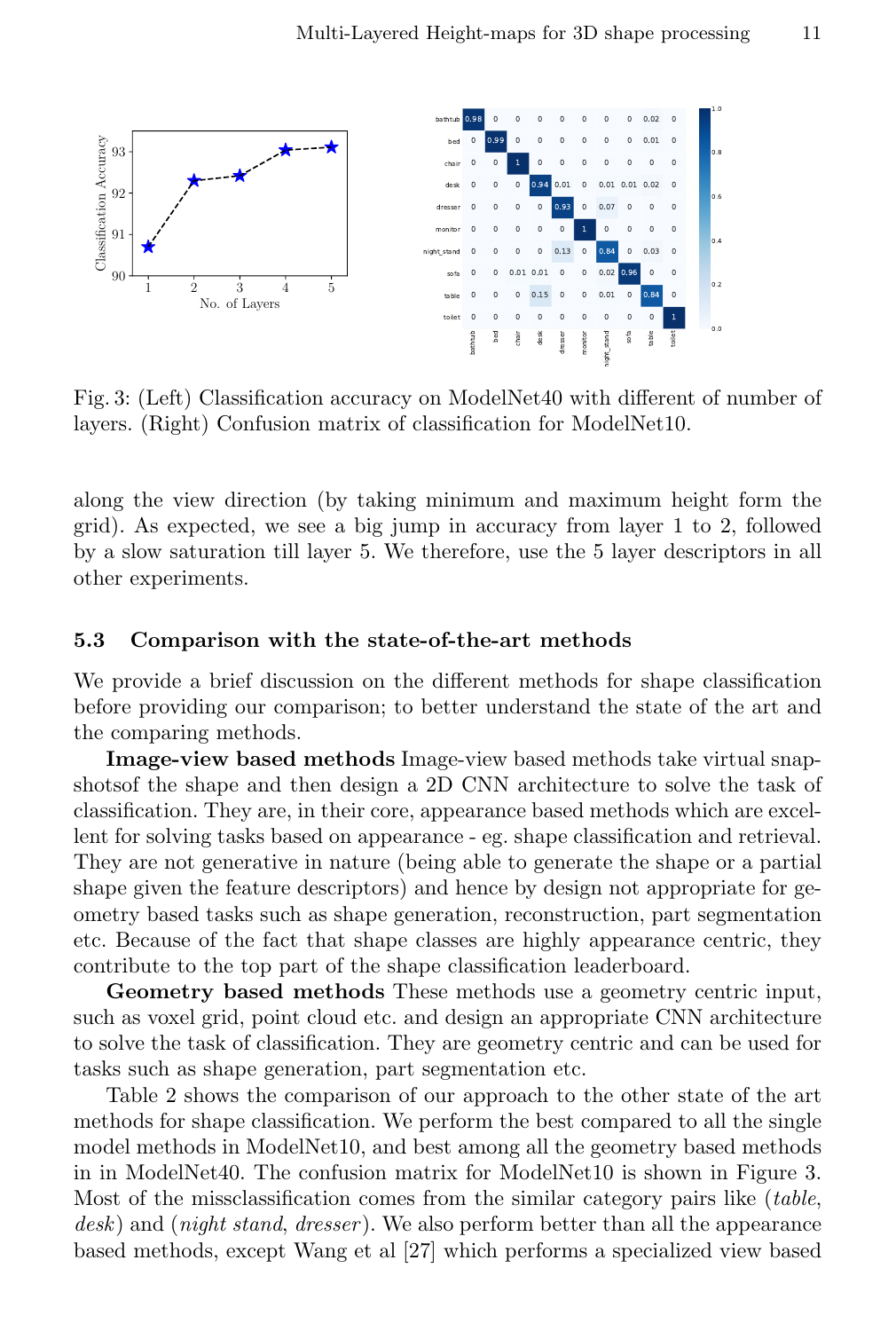

Fig. 3: (Left) Classification accuracy on ModelNet40 with different of number of layers. (Right) Confusion matrix of classification for ModelNet10.

along the view direction (by taking minimum and maximum height form the grid). As expected, we see a big jump in accuracy from layer 1 to 2, followed by a slow saturation till layer 5. We therefore, use the 5 layer descriptors in all other experiments.

#### 5.3 Comparison with the state-of-the-art methods

We provide a brief discussion on the different methods for shape classification before providing our comparison; to better understand the state of the art and the comparing methods.

Image-view based methods Image-view based methods take virtual snapshotsof the shape and then design a 2D CNN architecture to solve the task of classification. They are, in their core, appearance based methods which are excellent for solving tasks based on appearance - eg. shape classification and retrieval. They are not generative in nature (being able to generate the shape or a partial shape given the feature descriptors) and hence by design not appropriate for geometry based tasks such as shape generation, reconstruction, part segmentation etc. Because of the fact that shape classes are highly appearance centric, they contribute to the top part of the shape classification leaderboard.

Geometry based methods These methods use a geometry centric input, such as voxel grid, point cloud etc. and design an appropriate CNN architecture to solve the task of classification. They are geometry centric and can be used for tasks such as shape generation, part segmentation etc.

Table 2 shows the comparison of our approach to the other state of the art methods for shape classification. We perform the best compared to all the single model methods in ModelNet10, and best among all the geometry based methods in in ModelNet40. The confusion matrix for ModelNet10 is shown in Figure 3. Most of the missclassification comes from the similar category pairs like (table, desk) and (night stand, dresser). We also perform better than all the appearance based methods, except Wang et al [27] which performs a specialized view based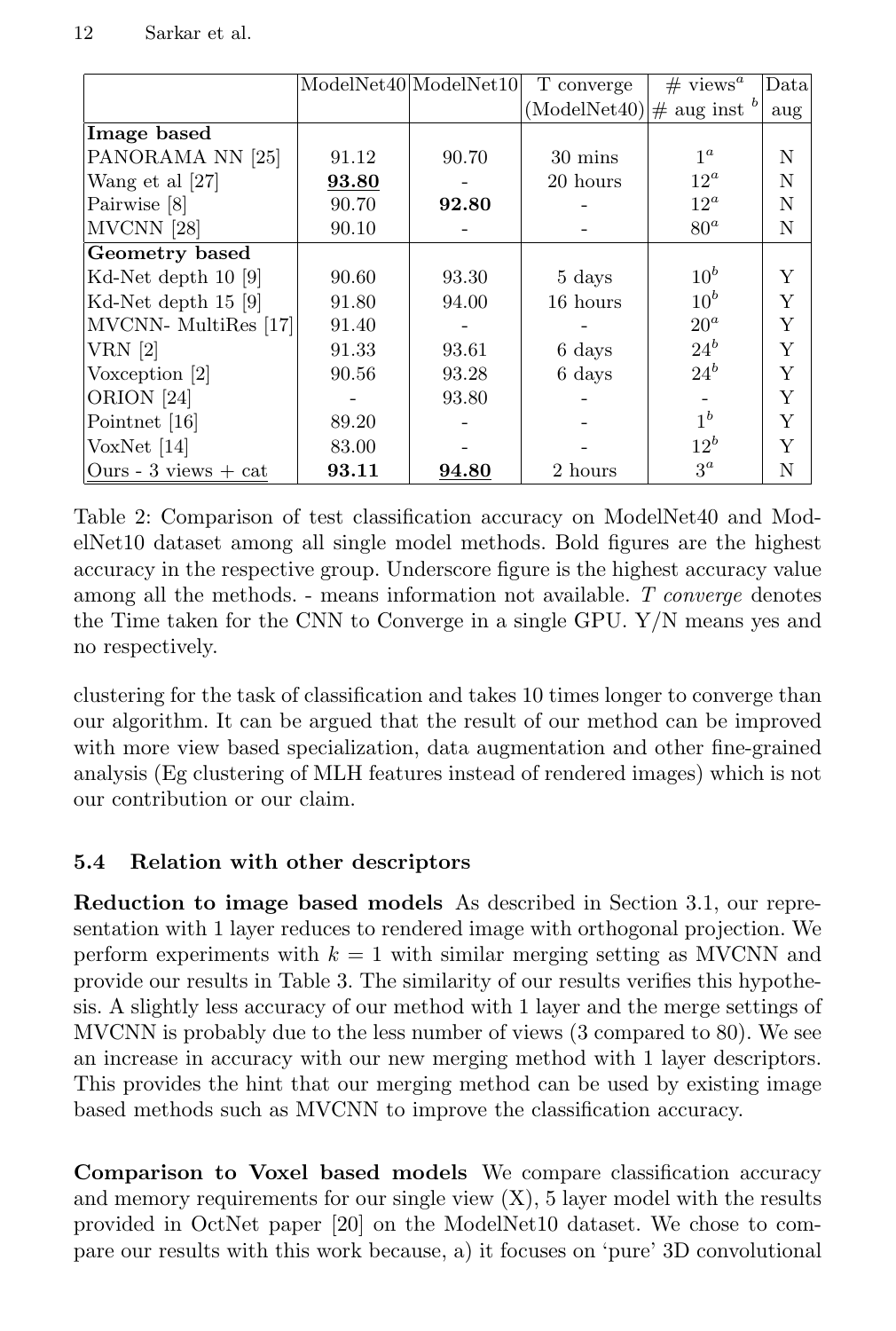|                          |       | ModelNet40 ModelNet10 | T converge                          | # views <sup>a</sup> | Data |
|--------------------------|-------|-----------------------|-------------------------------------|----------------------|------|
|                          |       |                       | $(ModelNet40) \text{\# aug inst}^b$ |                      | aug  |
| Image based              |       |                       |                                     |                      |      |
| PANORAMA NN [25]         | 91.12 | 90.70                 | $30 \text{ mins}$                   | $1^a$                | N    |
| Wang et al [27]          | 93.80 |                       | 20 hours                            | $12^a$               | N    |
| Pairwise [8]             | 90.70 | 92.80                 |                                     | $12^a$               | N    |
| MVCNN [28]               | 90.10 |                       |                                     | $80^a$               | N    |
| Geometry based           |       |                       |                                     |                      |      |
| Kd-Net depth 10 [9]      | 90.60 | 93.30                 | 5 days                              | $10^b$               | Y    |
| Kd-Net depth $15$ [9]    | 91.80 | 94.00                 | 16 hours                            | $10^b$               | Y    |
| MVCNN- MultiRes [17]     | 91.40 |                       |                                     | $20^a$               | Y    |
| $VRN$ [2]                | 91.33 | 93.61                 | 6 days                              | $24^b$               | Y    |
| Voxception [2]           | 90.56 | 93.28                 | 6 days                              | $24^b$               | Y    |
| ORION [24]               |       | 93.80                 |                                     |                      | Y    |
| Pointnet [16]            | 89.20 |                       |                                     | 1 <sup>b</sup>       | Y    |
| VoxNet $[14]$            | 83.00 |                       |                                     | $12^b$               | Y    |
| Ours - $3$ views $+$ cat | 93.11 | 94.80                 | 2 hours                             | $3^a$                | N    |

Table 2: Comparison of test classification accuracy on ModelNet40 and ModelNet10 dataset among all single model methods. Bold figures are the highest accuracy in the respective group. Underscore figure is the highest accuracy value among all the methods.  $\overline{\phantom{a}}$ - means information not available. T converge denotes the Time taken for the CNN to Converge in a single GPU. Y/N means yes and no respectively.

clustering for the task of classification and takes 10 times longer to converge than our algorithm. It can be argued that the result of our method can be improved with more view based specialization, data augmentation and other fine-grained analysis (Eg clustering of MLH features instead of rendered images) which is not our contribution or our claim.

### 5.4 Relation with other descriptors

Reduction to image based models As described in Section 3.1, our representation with 1 layer reduces to rendered image with orthogonal projection. We perform experiments with  $k = 1$  with similar merging setting as MVCNN and provide our results in Table 3. The similarity of our results verifies this hypothesis. A slightly less accuracy of our method with 1 layer and the merge settings of MVCNN is probably due to the less number of views (3 compared to 80). We see an increase in accuracy with our new merging method with 1 layer descriptors. This provides the hint that our merging method can be used by existing image based methods such as MVCNN to improve the classification accuracy.

Comparison to Voxel based models We compare classification accuracy and memory requirements for our single view  $(X)$ , 5 layer model with the results provided in OctNet paper [20] on the ModelNet10 dataset. We chose to compare our results with this work because, a) it focuses on 'pure' 3D convolutional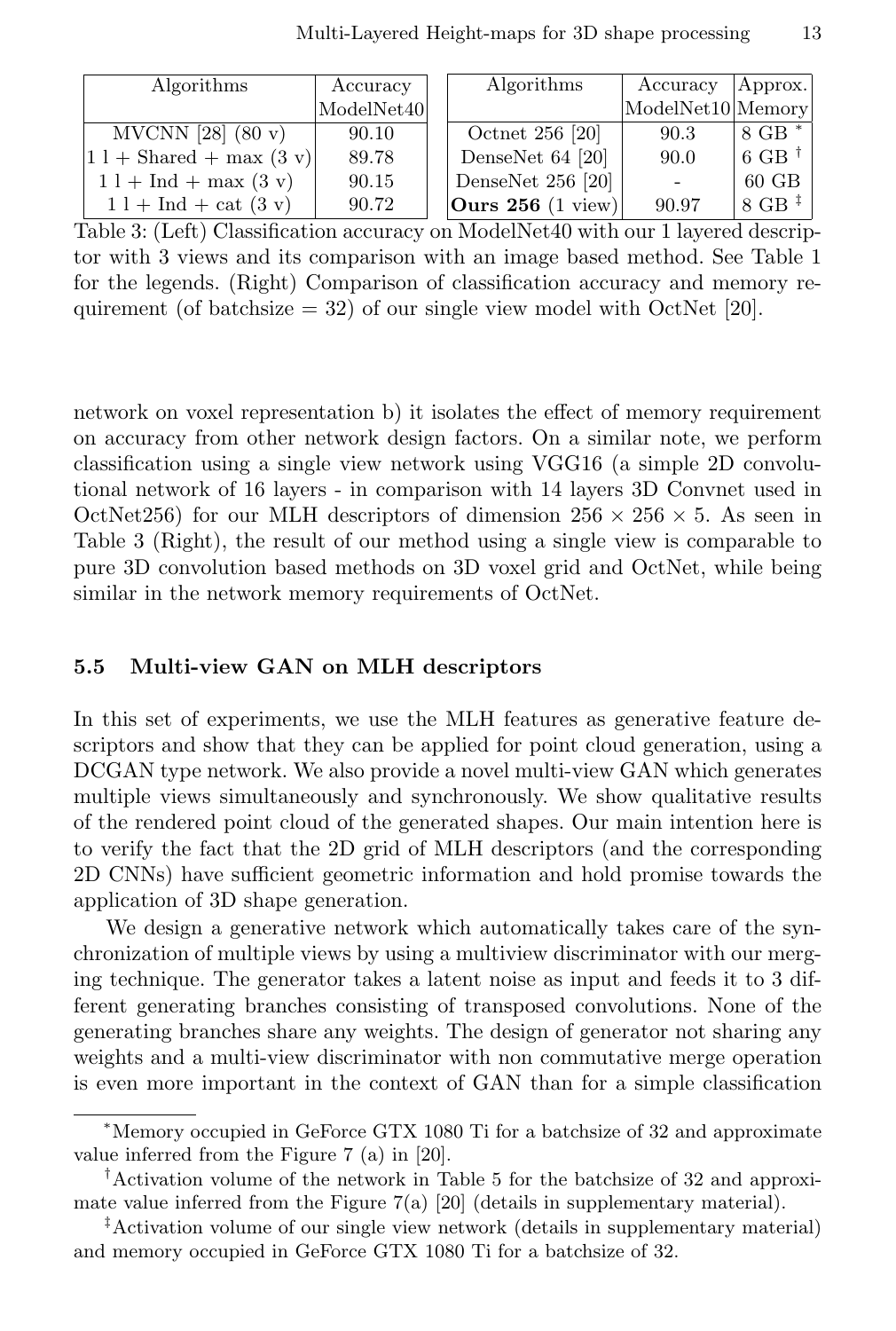| Algorithms                                        | Accuracy   | Algorithms          | Accuracy          | Approx.           |
|---------------------------------------------------|------------|---------------------|-------------------|-------------------|
|                                                   | ModelNet40 |                     | ModelNet10 Memory |                   |
| MVCNN [28] $(80 \text{ v})$                       | 90.10      | Octnet 256 [20]     | 90.3              | 8 GB *            |
| $ 1 1 + \text{Shared} + \text{max}(3 \text{ v}) $ | 89.78      | DenseNet 64 [20]    | 90.0              | 6 GB $^{\dagger}$ |
| $11 + Ind + max(3 v)$                             | 90.15      | DenseNet $256$ [20] | $\sim$            | $60$ GB           |
| $1 l + Ind + cat (3 v)$                           | 90.72      | Ours $256$ (1 view) | 90.97             | $8$ GB $‡$        |

Table 3: (Left) Classification accuracy on ModelNet40 with our 1 layered descriptor with 3 views and its comparison with an image based method. See Table 1 for the legends. (Right) Comparison of classification accuracy and memory requirement (of batchsize  $= 32$ ) of our single view model with OctNet [20].

network on voxel representation b) it isolates the effect of memory requirement on accuracy from other network design factors. On a similar note, we perform classification using a single view network using VGG16 (a simple 2D convolutional network of 16 layers - in comparison with 14 layers 3D Convnet used in OctNet256) for our MLH descriptors of dimension  $256 \times 256 \times 5$ . As seen in Table 3 (Right), the result of our method using a single view is comparable to pure 3D convolution based methods on 3D voxel grid and OctNet, while being similar in the network memory requirements of OctNet.

#### 5.5 Multi-view GAN on MLH descriptors

In this set of experiments, we use the MLH features as generative feature descriptors and show that they can be applied for point cloud generation, using a DCGAN type network. We also provide a novel multi-view GAN which generates multiple views simultaneously and synchronously. We show qualitative results of the rendered point cloud of the generated shapes. Our main intention here is to verify the fact that the 2D grid of MLH descriptors (and the corresponding 2D CNNs) have sufficient geometric information and hold promise towards the application of 3D shape generation.

We design a generative network which automatically takes care of the synchronization of multiple views by using a multiview discriminator with our merging technique. The generator takes a latent noise as input and feeds it to 3 different generating branches consisting of transposed convolutions. None of the generating branches share any weights. The design of generator not sharing any weights and a multi-view discriminator with non commutative merge operation is even more important in the context of GAN than for a simple classification

<sup>∗</sup>Memory occupied in GeForce GTX 1080 Ti for a batchsize of 32 and approximate value inferred from the Figure 7 (a) in [20].

<sup>†</sup>Activation volume of the network in Table 5 for the batchsize of 32 and approximate value inferred from the Figure 7(a) [20] (details in supplementary material).

<sup>‡</sup>Activation volume of our single view network (details in supplementary material) and memory occupied in GeForce GTX 1080 Ti for a batchsize of 32.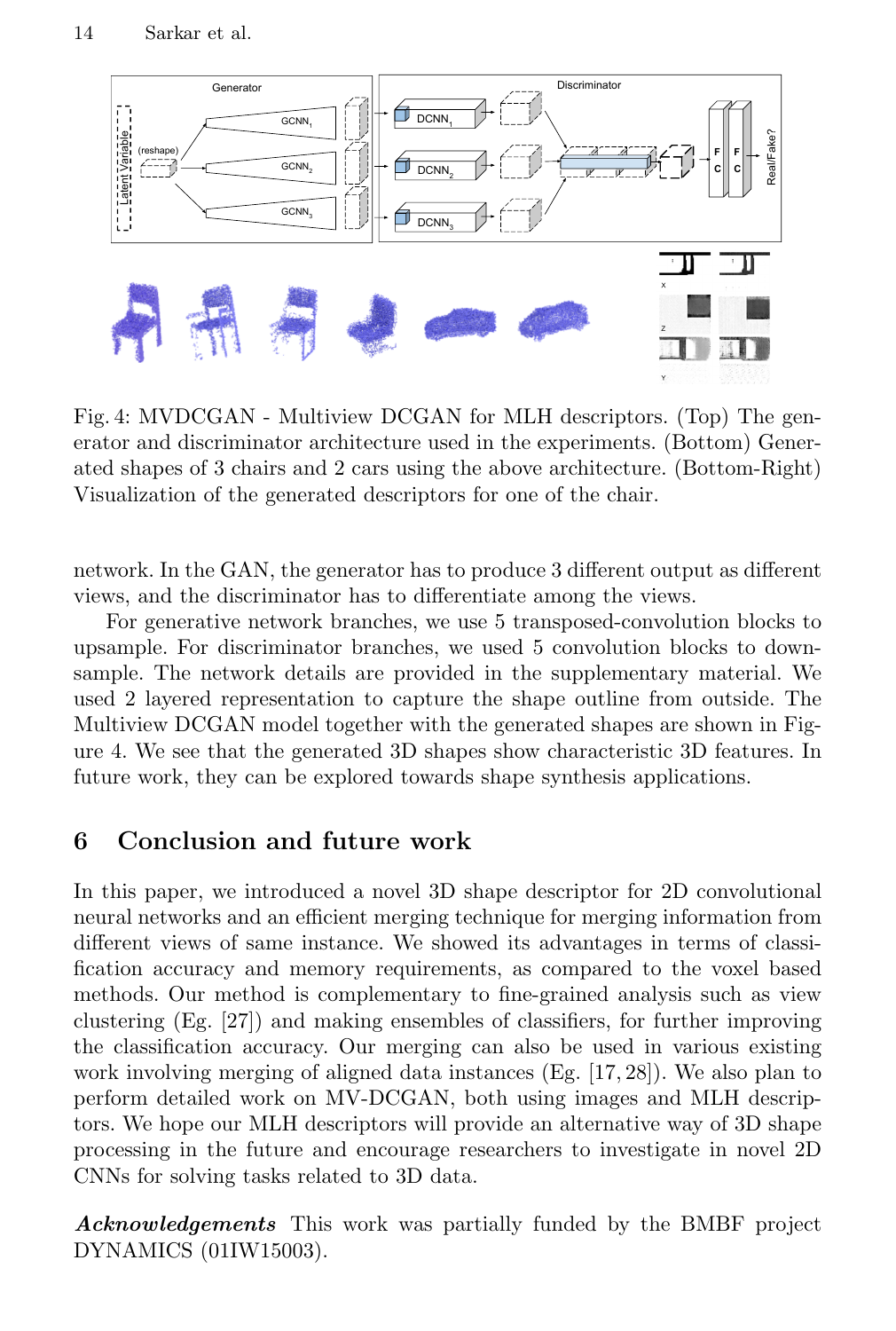

Fig. 4: MVDCGAN - Multiview DCGAN for MLH descriptors. (Top) The generator and discriminator architecture used in the experiments. (Bottom) Generated shapes of 3 chairs and 2 cars using the above architecture. (Bottom-Right) Visualization of the generated descriptors for one of the chair.

network. In the GAN, the generator has to produce 3 different output as different views, and the discriminator has to differentiate among the views.

For generative network branches, we use 5 transposed-convolution blocks to upsample. For discriminator branches, we used 5 convolution blocks to downsample. The network details are provided in the supplementary material. We used 2 layered representation to capture the shape outline from outside. The Multiview DCGAN model together with the generated shapes are shown in Figure 4. We see that the generated 3D shapes show characteristic 3D features. In future work, they can be explored towards shape synthesis applications.

### 6 Conclusion and future work

In this paper, we introduced a novel 3D shape descriptor for 2D convolutional neural networks and an efficient merging technique for merging information from different views of same instance. We showed its advantages in terms of classification accuracy and memory requirements, as compared to the voxel based methods. Our method is complementary to fine-grained analysis such as view clustering (Eg. [27]) and making ensembles of classifiers, for further improving the classification accuracy. Our merging can also be used in various existing work involving merging of aligned data instances (Eg. [17, 28]). We also plan to perform detailed work on MV-DCGAN, both using images and MLH descriptors. We hope our MLH descriptors will provide an alternative way of 3D shape processing in the future and encourage researchers to investigate in novel 2D CNNs for solving tasks related to 3D data.

Acknowledgements This work was partially funded by the BMBF project DYNAMICS (01IW15003).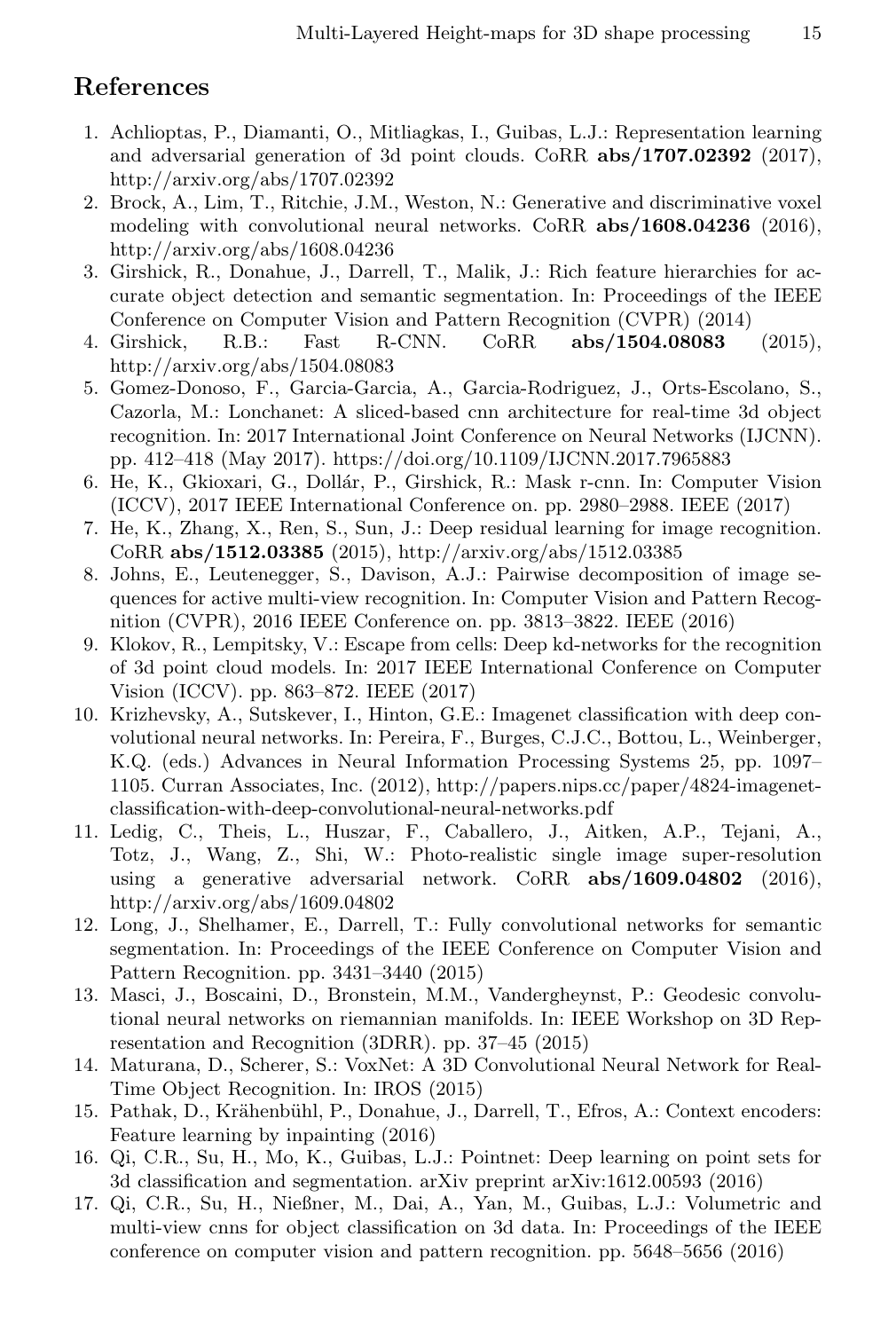### References

- 1. Achlioptas, P., Diamanti, O., Mitliagkas, I., Guibas, L.J.: Representation learning and adversarial generation of 3d point clouds. CoRR  $abs/1707.02392$  (2017), http://arxiv.org/abs/1707.02392
- 2. Brock, A., Lim, T., Ritchie, J.M., Weston, N.: Generative and discriminative voxel modeling with convolutional neural networks. CoRR abs/1608.04236 (2016), http://arxiv.org/abs/1608.04236
- 3. Girshick, R., Donahue, J., Darrell, T., Malik, J.: Rich feature hierarchies for accurate object detection and semantic segmentation. In: Proceedings of the IEEE Conference on Computer Vision and Pattern Recognition (CVPR) (2014)
- 4. Girshick, R.B.: Fast R-CNN. CoRR abs/1504.08083 (2015), http://arxiv.org/abs/1504.08083
- 5. Gomez-Donoso, F., Garcia-Garcia, A., Garcia-Rodriguez, J., Orts-Escolano, S., Cazorla, M.: Lonchanet: A sliced-based cnn architecture for real-time 3d object recognition. In: 2017 International Joint Conference on Neural Networks (IJCNN). pp. 412–418 (May 2017). https://doi.org/10.1109/IJCNN.2017.7965883
- 6. He, K., Gkioxari, G., Dollár, P., Girshick, R.: Mask r-cnn. In: Computer Vision (ICCV), 2017 IEEE International Conference on. pp. 2980–2988. IEEE (2017)
- 7. He, K., Zhang, X., Ren, S., Sun, J.: Deep residual learning for image recognition. CoRR abs/1512.03385 (2015), http://arxiv.org/abs/1512.03385
- 8. Johns, E., Leutenegger, S., Davison, A.J.: Pairwise decomposition of image sequences for active multi-view recognition. In: Computer Vision and Pattern Recognition (CVPR), 2016 IEEE Conference on. pp. 3813–3822. IEEE (2016)
- 9. Klokov, R., Lempitsky, V.: Escape from cells: Deep kd-networks for the recognition of 3d point cloud models. In: 2017 IEEE International Conference on Computer Vision (ICCV). pp. 863–872. IEEE (2017)
- 10. Krizhevsky, A., Sutskever, I., Hinton, G.E.: Imagenet classification with deep convolutional neural networks. In: Pereira, F., Burges, C.J.C., Bottou, L., Weinberger, K.Q. (eds.) Advances in Neural Information Processing Systems 25, pp. 1097– 1105. Curran Associates, Inc. (2012), http://papers.nips.cc/paper/4824-imagenetclassification-with-deep-convolutional-neural-networks.pdf
- 11. Ledig, C., Theis, L., Huszar, F., Caballero, J., Aitken, A.P., Tejani, A., Totz, J., Wang, Z., Shi, W.: Photo-realistic single image super-resolution using a generative adversarial network. CoRR abs/1609.04802 (2016), http://arxiv.org/abs/1609.04802
- 12. Long, J., Shelhamer, E., Darrell, T.: Fully convolutional networks for semantic segmentation. In: Proceedings of the IEEE Conference on Computer Vision and Pattern Recognition. pp. 3431–3440 (2015)
- 13. Masci, J., Boscaini, D., Bronstein, M.M., Vandergheynst, P.: Geodesic convolutional neural networks on riemannian manifolds. In: IEEE Workshop on 3D Representation and Recognition (3DRR). pp. 37–45 (2015)
- 14. Maturana, D., Scherer, S.: VoxNet: A 3D Convolutional Neural Network for Real-Time Object Recognition. In: IROS (2015)
- 15. Pathak, D., Krähenbühl, P., Donahue, J., Darrell, T., Efros, A.: Context encoders: Feature learning by inpainting (2016)
- 16. Qi, C.R., Su, H., Mo, K., Guibas, L.J.: Pointnet: Deep learning on point sets for 3d classification and segmentation. arXiv preprint arXiv:1612.00593 (2016)
- 17. Qi, C.R., Su, H., Nießner, M., Dai, A., Yan, M., Guibas, L.J.: Volumetric and multi-view cnns for object classification on 3d data. In: Proceedings of the IEEE conference on computer vision and pattern recognition. pp. 5648–5656 (2016)